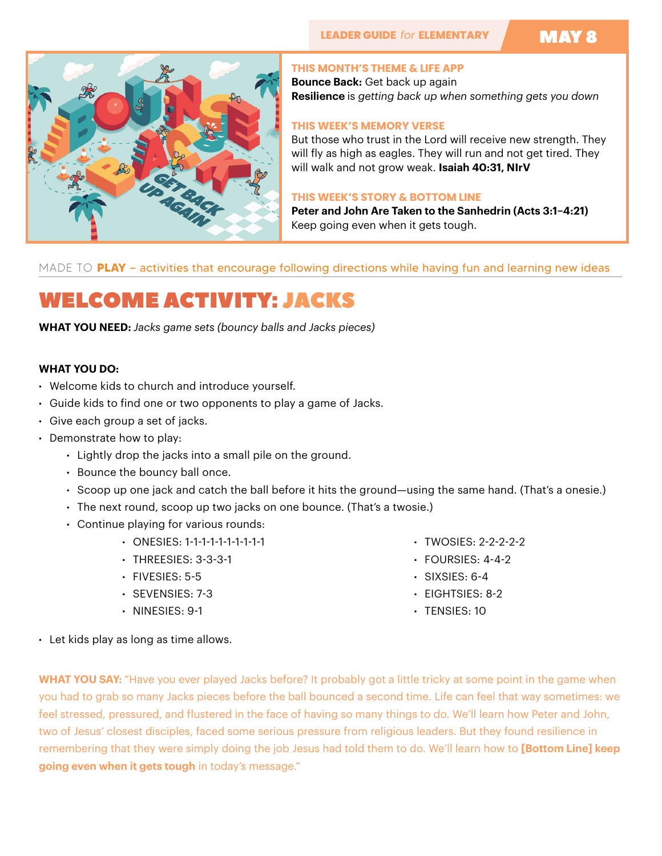# MAY 8



#### **THIS MONTH'S THEME & LIFE APP**

**Bounce Back:** Get back up again **Resilience** is *getting back up when something gets you down*

### **THIS WEEK'S MEMORY VERSE**

But those who trust in the Lord will receive new strength. They will fly as high as eagles. They will run and not get tired. They will walk and not grow weak. **Isaiah 40:31, NIrV**

#### **THIS WEEK'S STORY & BOTTOM LINE**

**Peter and John Are Taken to the Sanhedrin (Acts 3:1–4:21)**  Keep going even when it gets tough.

MADE TO **PLAY** – activities that encourage following directions while having fun and learning new ideas

# WELCOME ACTIVITY: JACKS

**WHAT YOU NEED:** *Jacks game sets (bouncy balls and Jacks pieces)*

### **WHAT YOU DO:**

- Welcome kids to church and introduce yourself.
- Guide kids to find one or two opponents to play a game of Jacks.
- Give each group a set of jacks.
- Demonstrate how to play:
	- Lightly drop the jacks into a small pile on the ground.
	- Bounce the bouncy ball once.
	- Scoop up one jack and catch the ball before it hits the ground—using the same hand. (That's a onesie.)
	- The next round, scoop up two jacks on one bounce. (That's a twosie.)
	- Continue playing for various rounds:
		- ONESIES: 1-1-1-1-1-1-1-1-1-1
		- THREESIES: 3-3-3-1
		- FIVESIES: 5-5
		- SEVENSIES: 7-3
		- NINESIES: 9-1
- TWOSIES: 2-2-2-2-2
- $\cdot$  FOURSIES: 4-4-2
- $\cdot$  SIXSIES: 6-4
- EIGHTSIES: 8-2
- TENSIES: 10

• Let kids play as long as time allows.

**WHAT YOU SAY:** "Have you ever played Jacks before? It probably got a little tricky at some point in the game when you had to grab so many Jacks pieces before the ball bounced a second time. Life can feel that way sometimes: we feel stressed, pressured, and flustered in the face of having so many things to do. We'll learn how Peter and John, two of Jesus' closest disciples, faced some serious pressure from religious leaders. But they found resilience in remembering that they were simply doing the job Jesus had told them to do. We'll learn how to **[Bottom Line] keep going even when it gets tough** in today's message."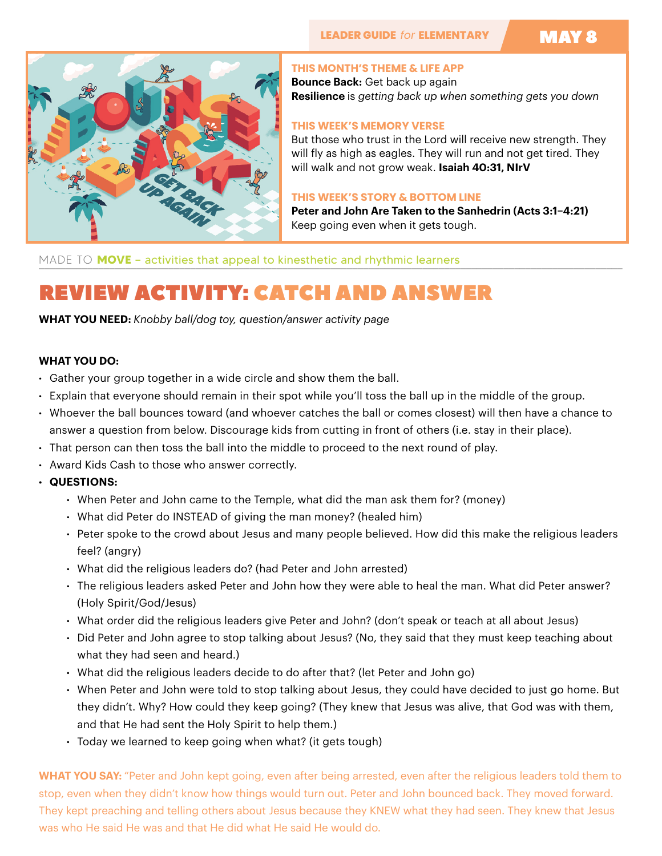# MAY 8



#### **THIS MONTH'S THEME & LIFE APP**

**Bounce Back:** Get back up again **Resilience** is *getting back up when something gets you down*

### **THIS WEEK'S MEMORY VERSE**

But those who trust in the Lord will receive new strength. They will fly as high as eagles. They will run and not get tired. They will walk and not grow weak. **Isaiah 40:31, NIrV**

#### **THIS WEEK'S STORY & BOTTOM LINE**

**Peter and John Are Taken to the Sanhedrin (Acts 3:1–4:21)**  Keep going even when it gets tough.

MADE TO **MOVE** - activities that appeal to kinesthetic and rhythmic learners

# REVIEW ACTIVITY: CATCH AND ANSWER

**WHAT YOU NEED:** *Knobby ball/dog toy, question/answer activity page*

### **WHAT YOU DO:**

- Gather your group together in a wide circle and show them the ball.
- Explain that everyone should remain in their spot while you'll toss the ball up in the middle of the group.
- Whoever the ball bounces toward (and whoever catches the ball or comes closest) will then have a chance to answer a question from below. Discourage kids from cutting in front of others (i.e. stay in their place).
- That person can then toss the ball into the middle to proceed to the next round of play.
- Award Kids Cash to those who answer correctly.
- **• QUESTIONS:** 
	- When Peter and John came to the Temple, what did the man ask them for? (money)
	- What did Peter do INSTEAD of giving the man money? (healed him)
	- Peter spoke to the crowd about Jesus and many people believed. How did this make the religious leaders feel? (angry)
	- What did the religious leaders do? (had Peter and John arrested)
	- The religious leaders asked Peter and John how they were able to heal the man. What did Peter answer? (Holy Spirit/God/Jesus)
	- What order did the religious leaders give Peter and John? (don't speak or teach at all about Jesus)
	- Did Peter and John agree to stop talking about Jesus? (No, they said that they must keep teaching about what they had seen and heard.)
	- What did the religious leaders decide to do after that? (let Peter and John go)
	- When Peter and John were told to stop talking about Jesus, they could have decided to just go home. But they didn't. Why? How could they keep going? (They knew that Jesus was alive, that God was with them, and that He had sent the Holy Spirit to help them.)
	- Today we learned to keep going when what? (it gets tough)

**WHAT YOU SAY:** "Peter and John kept going, even after being arrested, even after the religious leaders told them to stop, even when they didn't know how things would turn out. Peter and John bounced back. They moved forward. They kept preaching and telling others about Jesus because they KNEW what they had seen. They knew that Jesus was who He said He was and that He did what He said He would do.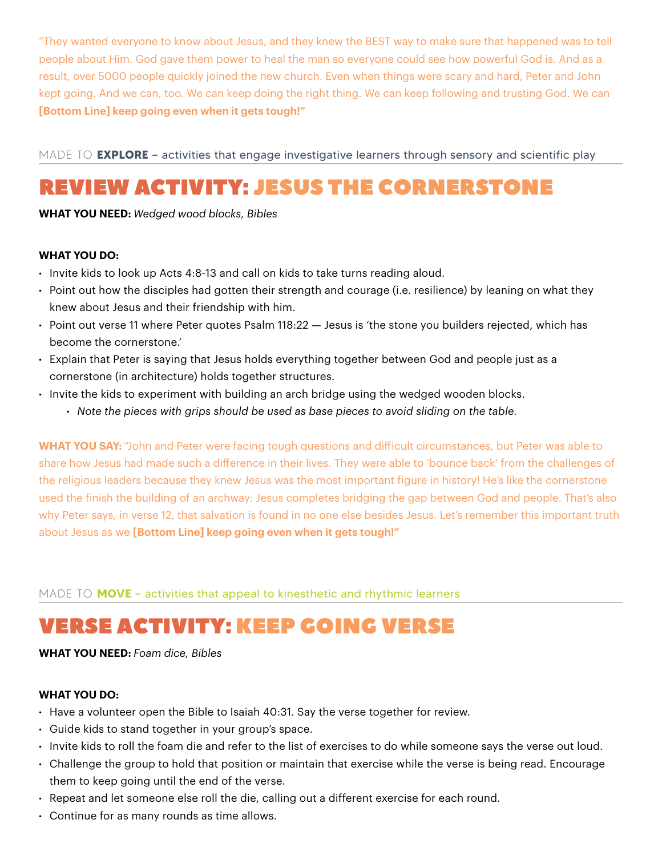"They wanted everyone to know about Jesus, and they knew the BEST way to make sure that happened was to tell people about Him. God gave them power to heal the man so everyone could see how powerful God is. And as a result, over 5000 people quickly joined the new church. Even when things were scary and hard, Peter and John kept going. And we can, too. We can keep doing the right thing. We can keep following and trusting God. We can **[Bottom Line] keep going even when it gets tough!"** 

MADE TO **EXPLORE** - activities that engage investigative learners through sensory and scientific play

# REVIEW ACTIVITY: JESUS THE CORNERSTONE

**WHAT YOU NEED:** *Wedged wood blocks, Bibles*

## **WHAT YOU DO:**

- Invite kids to look up Acts 4:8-13 and call on kids to take turns reading aloud.
- Point out how the disciples had gotten their strength and courage (i.e. resilience) by leaning on what they knew about Jesus and their friendship with him.
- Point out verse 11 where Peter quotes Psalm 118:22 Jesus is 'the stone you builders rejected, which has become the cornerstone.'
- Explain that Peter is saying that Jesus holds everything together between God and people just as a cornerstone (in architecture) holds together structures.
- Invite the kids to experiment with building an arch bridge using the wedged wooden blocks.
	- *• Note the pieces with grips should be used as base pieces to avoid sliding on the table.*

**WHAT YOU SAY:** "John and Peter were facing tough questions and dificult circumstances, but Peter was able to share how Jesus had made such a difference in their lives. They were able to 'bounce back' from the challenges of the religious leaders because they knew Jesus was the most important figure in history! He's like the cornerstone used the finish the building of an archway: Jesus completes bridging the gap between God and people. That's also why Peter says, in verse 12, that salvation is found in no one else besides Jesus. Let's remember this important truth about Jesus as we **[Bottom Line] keep going even when it gets tough!"**

MADE TO **MOVE** - activities that appeal to kinesthetic and rhythmic learners

# VERSE ACTIVITY: KEEP GOING VERSE

# **WHAT YOU NEED:** *Foam dice, Bibles*

### **WHAT YOU DO:**

- Have a volunteer open the Bible to Isaiah 40:31. Say the verse together for review.
- Guide kids to stand together in your group's space.
- Invite kids to roll the foam die and refer to the list of exercises to do while someone says the verse out loud.
- Challenge the group to hold that position or maintain that exercise while the verse is being read. Encourage them to keep going until the end of the verse.
- Repeat and let someone else roll the die, calling out a different exercise for each round.
- Continue for as many rounds as time allows.